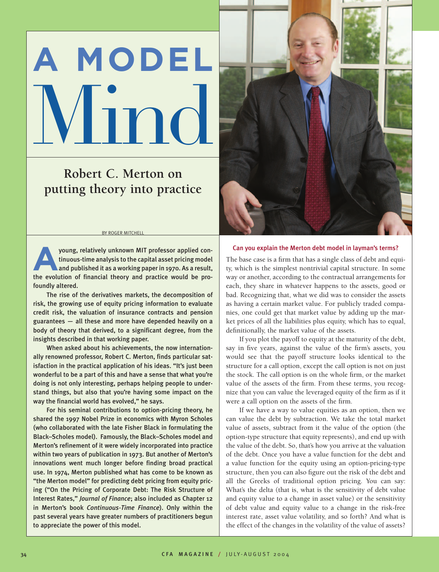# **A MODEL** no

## **Robert C. Merton on putting theory into practice**

#### BY ROGER MITCHELL

young, relatively unknown MIT professor applied continuous-time analysis to the capital asset pricing model and published it as a working paper in 1970. As a result, the evolution of financial theory and practice would be profoundly altered. **A**

The rise of the derivatives markets, the decomposition of risk, the growing use of equity pricing information to evaluate credit risk, the valuation of insurance contracts and pension guarantees — all these and more have depended heavily on a body of theory that derived, to a significant degree, from the insights described in that working paper.

When asked about his achievements, the now internationally renowned professor, Robert C. Merton, finds particular satisfaction in the practical application of his ideas. "It's just been wonderful to be a part of this and have a sense that what you're doing is not only interesting, perhaps helping people to understand things, but also that you're having some impact on the way the financial world has evolved," he says.

For his seminal contributions to option-pricing theory, he shared the 1997 Nobel Prize in economics with Myron Scholes (who collaborated with the late Fisher Black in formulating the Black–Scholes model). Famously, the Black–Scholes model and Merton's refinement of it were widely incorporated into practice within two years of publication in 1973. But another of Merton's innovations went much longer before finding broad practical use. In 1974, Merton published what has come to be known as "the Merton model" for predicting debt pricing from equity pricing ("On the Pricing of Corporate Debt: The Risk Structure of Interest Rates," *Journal of Finance*; also included as Chapter 12 in Merton's book *Continuous-Time Finance*). Only within the past several years have greater numbers of practitioners begun to appreciate the power of this model.



#### Can you explain the Merton debt model in layman's terms?

The base case is a firm that has a single class of debt and equity, which is the simplest nontrivial capital structure. In some way or another, according to the contractual arrangements for each**,** they share in whatever happens to the assets, good or bad. Recognizing that, what we did was to consider the assets as having a certain market value. For publicly traded companies, one could get that market value by adding up the market prices of all the liabilities plus equity, which has to equal, definitionally, the market value of the assets.

If you plot the payoff to equity at the maturity of the debt, say in five years, against the value of the firm's assets, you would see that the payoff structure looks identical to the structure for a call option, except the call option is not on just the stock. The call option is on the whole firm, or the market value of the assets of the firm. From these terms, you recognize that you can value the leveraged equity of the firm as if it were a call option on the assets of the firm.

If we have a way to value equities as an option, then we can value the debt by subtraction. We take the total market value of assets, subtract from it the value of the option (the option-type structure that equity represents), and end up with the value of the debt. So, that's how you arrive at the valuation of the debt. Once you have a value function for the debt and a value function for the equity using an option-pricing-type structure, then you can also figure out the risk of the debt and all the Greeks of traditional option pricing. You can say: What's the delta (that is, what is the sensitivity of debt value and equity value to a change in asset value) or the sensitivity of debt value and equity value to a change in the risk-free interest rate, asset value volatility, and so forth? And what is the effect of the changes in the volatility of the value of assets?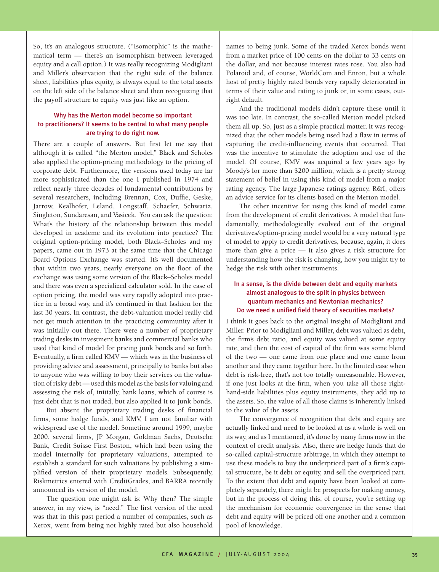So, it's an analogous structure. ("Isomorphic" is the mathematical term — there's an isomorphism between leveraged equity and a call option.) It was really recognizing Modigliani and Miller's observation that the right side of the balance sheet, liabilities plus equity, is always equal to the total assets on the left side of the balance sheet and then recognizing that the payoff structure to equity was just like an option.

#### Why has the Merton model become so important to practitioners? It seems to be central to what many people are trying to do right now.

There are a couple of answers. But first let me say that although it is called "the Merton model," Black and Scholes also applied the option-pricing methodology to the pricing of corporate debt. Furthermore, the versions used today are far more sophisticated than the one I published in 1974 and reflect nearly three decades of fundamental contributions by several researchers, including Brennan, Cox, Duffie, Geske, Jarrow, Kealhofer, Leland, Longstaff, Schaefer, Schwartz, Singleton, Sundaresan, and Vasicek. You can ask the question: What's the history of the relationship between this model developed in academe and its evolution into practice? The original option-pricing model, both Black–Scholes and my papers, came out in 1973 at the same time that the Chicago Board Options Exchange was started. It's well documented that within two years, nearly everyone on the floor of the exchange was using some version of the Black–Scholes model and there was even a specialized calculator sold. In the case of option pricing, the model was very rapidly adopted into practice in a broad way, and it's continued in that fashion for the last 30 years. In contrast, the debt-valuation model really did not get much attention in the practicing community after it was initially out there. There were a number of proprietary trading desks in investment banks and commercial banks who used that kind of model for pricing junk bonds and so forth. Eventually, a firm called KMV — which was in the business of providing advice and assessment, principally to banks but also to anyone who was willing to buy their services on the valuation of risky debt — used this model as the basis for valuing and assessing the risk of, initially, bank loans, which of course is just debt that is not traded, but also applied it to junk bonds.

But absent the proprietary trading desks of financial firms, some hedge funds, and KMV, I am not familiar with widespread use of the model. Sometime around 1999, maybe 2000, several firms, JP Morgan, Goldman Sachs, Deutsche Bank, Credit Suisse First Boston**,** which had been using the model internally for proprietary valuations, attempted to establish a standard for such valuations by publishing a simplified version of their proprietary models. Subsequently, Riskmetrics entered with CreditGrades, and BARRA recently announced its version of the model.

The question one might ask is: Why then? The simple answer, in my view, is "need." The first version of the need was that in this past period a number of companies, such as Xerox, went from being not highly rated but also household names to being junk. Some of the traded Xerox bonds went from a market price of 100 cents on the dollar to 33 cents on the dollar, and not because interest rates rose. You also had Polaroid and, of course, WorldCom and Enron, but a whole host of pretty highly rated bonds very rapidly deteriorated in terms of their value and rating to junk or, in some cases, outright default.

And the traditional models didn't capture these until it was too late. In contrast, the so-called Merton model picked them all up. So, just as a simple practical matter, it was recognized that the other models being used had a flaw in terms of capturing the credit-influencing events that occurred. That was the incentive to stimulate the adoption and use of the model. Of course, KMV was acquired a few years ago by Moody's for more than \$200 million, which is a pretty strong statement of belief in using this kind of model from a major rating agency. The large Japanese ratings agency, R&I, offers an advice service for its clients based on the Merton model.

The other incentive for using this kind of model came from the development of credit derivatives. A model that fundamentally, methodologically evolved out of the original derivatives/option-pricing model would be a very natural type of model to apply to credit derivatives, because, again, it does more than give a price — it also gives a risk structure for understanding how the risk is changing, how you might try to hedge the risk with other instruments.

#### In a sense, is the divide between debt and equity markets almost analogous to the split in physics between quantum mechanics and Newtonian mechanics? Do we need a unified field theory of securities markets?

I think it goes back to the original insight of Modigliani and Miller. Prior to Modigliani and Miller, debt was valued as debt, the firm's debt ratio, and equity was valued at some equity rate, and then the cost of capital of the firm was some blend of the two — one came from one place and one came from another and they came together here. In the limited case when debt is risk-free, that's not too totally unreasonable. However, if one just looks at the firm, when you take all those righthand-side liabilities plus equity instruments, they add up to the assets. So, the value of all those claims is inherently linked to the value of the assets.

The convergence of recognition that debt and equity are actually linked and need to be looked at as a whole is well on its way, and as I mentioned, it's done by many firms now in the context of credit analysis. Also, there are hedge funds that do so-called capital-structure arbitrage, in which they attempt to use these models to buy the underpriced part of a firm's capital structure, be it debt or equity, and sell the overpriced part. To the extent that debt and equity have been looked at completely separately, there might be prospects for making money, but in the process of doing this, of course, you're setting up the mechanism for economic convergence in the sense that debt and equity will be priced off one another and a common pool of knowledge.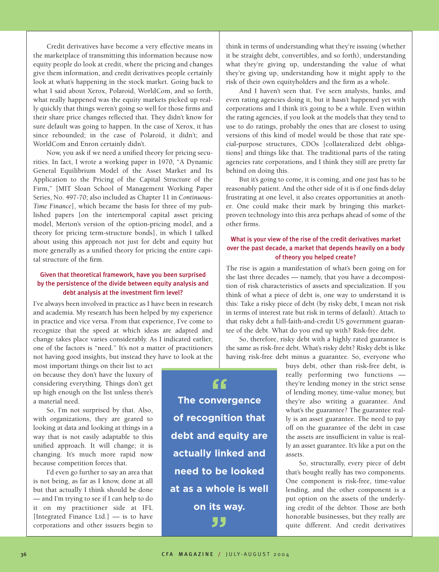Credit derivatives have become a very effective means in the marketplace of transmitting this information because now equity people do look at credit, where the pricing and changes give them information, and credit derivatives people certainly look at what's happening in the stock market. Going back to what I said about Xerox, Polaroid, WorldCom, and so forth, what really happened was the equity markets picked up really quickly that things weren't going so well for those firms and their share price changes reflected that. They didn't know for sure default was going to happen. In the case of Xerox, it has since rebounded; in the case of Polaroid, it didn't; and WorldCom and Enron certainly didn't.

Now, you ask if we need a unified theory for pricing securities. In fact, I wrote a working paper in 1970, "A Dynamic General Equilibrium Model of the Asset Market and Its Application to the Pricing of the Capital Structure of the Firm," [MIT Sloan School of Management Working Paper Series, No. 497-70; also included as Chapter 11 in *Continuous-Time Finance*], which became the basis for three of my published papers [on the intertemporal capital asset pricing model, Merton's version of the option-pricing model, and a theory for pricing term-structure bonds], in which I talked about using this approach not just for debt and equity but more generally as a unified theory for pricing the entire capital structure of the firm.

### Given that theoretical framework, have you been surprised by the persistence of the divide between equity analysis and debt analysis at the investment firm level?

I've always been involved in practice as I have been in research and academia. My research has been helped by my experience in practice and vice versa. From that experience, I've come to recognize that the speed at which ideas are adapted and change takes place varies considerably. As I indicated earlier, one of the factors is "need." It's not a matter of practitioners not having good insights, but instead they have to look at the

most important things on their list to act on because they don't have the luxury of considering everything. Things don't get up high enough on the list unless there's a material need.

So, I'm not surprised by that. Also, with organizations, they are geared to looking at data and looking at things in a way that is not easily adaptable to this unified approach. It will change; it is changing. It's much more rapid now because competition forces that.

I'd even go further to say an area that is not being, as far as I know, done at all but that actually I think should be done — and I'm trying to see if I can help to do it on my practitioner side at IFL [Integrated Finance Ltd.]  $-$  is to have corporations and other issuers begin to

think in terms of understanding what they're issuing (whether it be straight debt, convertibles, and so forth), understanding what they're giving up, understanding the value of what they're giving up, understanding how it might apply to the risk of their own equityholders and the firm as a whole.

And I haven't seen that. I've seen analysts, banks, and even rating agencies doing it, but it hasn't happened yet with corporations and I think it's going to be a while. Even within the rating agencies, if you look at the models that they tend to use to do ratings, probably the ones that are closest to using versions of this kind of model would be those that rate special-purpose structures, CDOs [collateralized debt obligations] and things like that. The traditional parts of the rating agencies rate corporations, and I think they still are pretty far behind on doing this.

But it's going to come, it is coming, and one just has to be reasonably patient. And the other side of it is if one finds delay frustrating at one level, it also creates opportunities at another. One could make their mark by bringing this marketproven technology into this area perhaps ahead of some of the other firms.

#### What is your view of the rise of the credit derivatives market over the past decade, a market that depends heavily on a body of theory you helped create?

The rise is again a manifestation of what's been going on for the last three decades — namely, that you have a decomposition of risk characteristics of assets and specialization. If you think of what a piece of debt is, one way to understand it is this: Take a risky piece of debt (by risky debt, I mean not risk in terms of interest rate but risk in terms of default). Attach to that risky debt a full-faith-and-credit US government guarantee of the debt. What do you end up with? Risk-free debt.

So, therefore, risky debt with a highly rated guarantee is the same as risk-free debt. What's risky debt? Risky debt is like having risk-free debt minus a guarantee. So, everyone who

**The convergence " of recognition that debt and equity are actually linked and need to be looked at as a whole is well on its way. "**

buys debt, other than risk-free debt, is really performing two functions they're lending money in the strict sense of lending money, time-value money, but they're also writing a guarantee. And what's the guarantee? The guarantee really is an asset guarantee. The need to pay off on the guarantee of the debt in case the assets are insufficient in value is really an asset guarantee. It's like a put on the assets.

So, structurally, every piece of debt that's bought really has two components. One component is risk-free, time-value lending, and the other component is a put option on the assets of the underlying credit of the debtor. Those are both honorable businesses, but they really are quite different. And credit derivatives